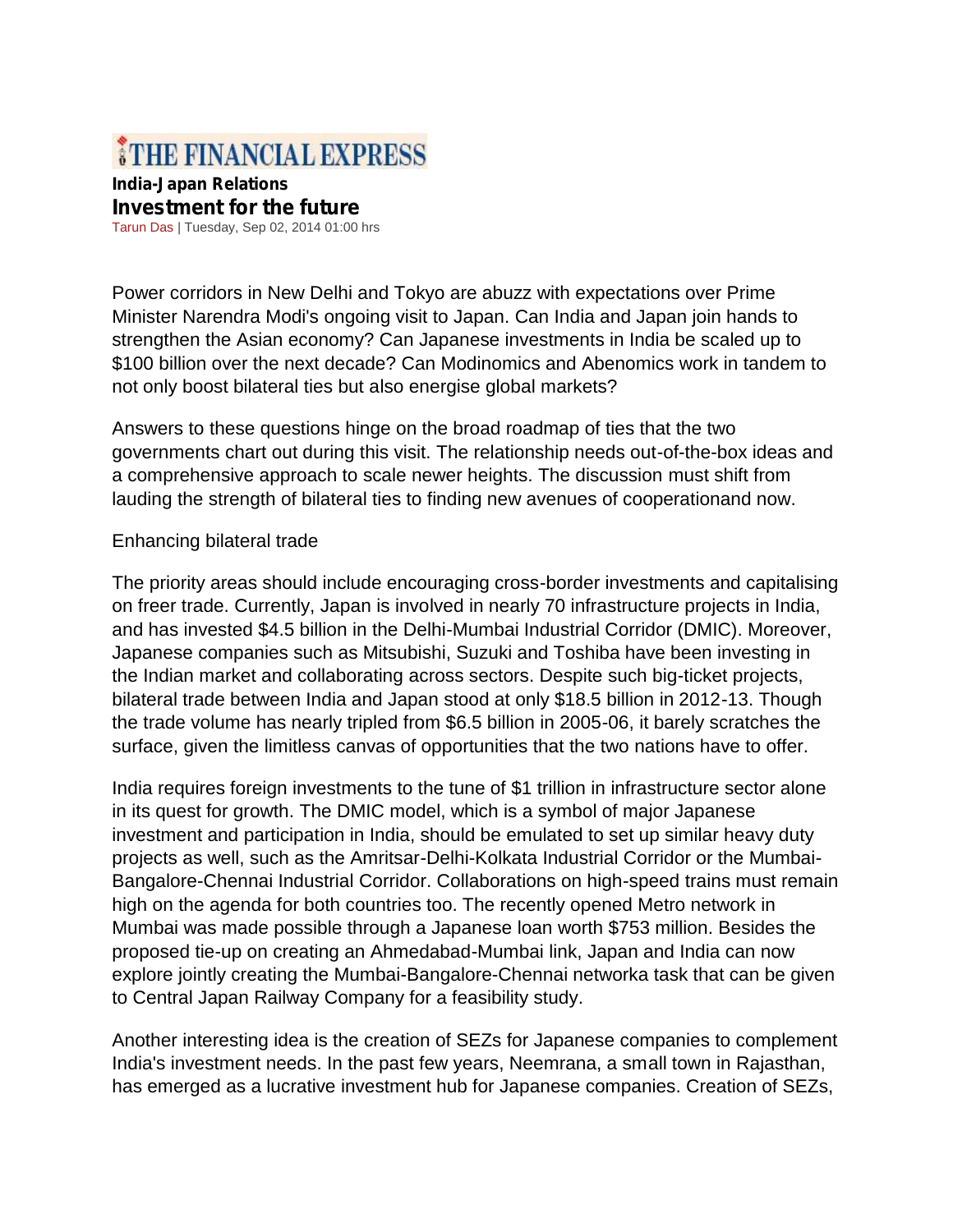# THE FINANCIAL EXPRESS

#### **India-Japan Relations Investment for the future** Tarun Das | Tuesday, Sep 02, 2014 01:00 hrs

Power corridors in New Delhi and Tokyo are abuzz with expectations over Prime Minister Narendra Modi's ongoing visit to Japan. Can India and Japan join hands to strengthen the Asian economy? Can Japanese investments in India be scaled up to \$100 billion over the next decade? Can Modinomics and Abenomics work in tandem to not only boost bilateral ties but also energise global markets?

Answers to these questions hinge on the broad roadmap of ties that the two governments chart out during this visit. The relationship needs out-of-the-box ideas and a comprehensive approach to scale newer heights. The discussion must shift from lauding the strength of bilateral ties to finding new avenues of cooperationand now.

## Enhancing bilateral trade

The priority areas should include encouraging cross-border investments and capitalising on freer trade. Currently, Japan is involved in nearly 70 infrastructure projects in India, and has invested \$4.5 billion in the Delhi-Mumbai Industrial Corridor (DMIC). Moreover, Japanese companies such as Mitsubishi, Suzuki and Toshiba have been investing in the Indian market and collaborating across sectors. Despite such big-ticket projects, bilateral trade between India and Japan stood at only \$18.5 billion in 2012-13. Though the trade volume has nearly tripled from \$6.5 billion in 2005-06, it barely scratches the surface, given the limitless canvas of opportunities that the two nations have to offer.

India requires foreign investments to the tune of \$1 trillion in infrastructure sector alone in its quest for growth. The DMIC model, which is a symbol of major Japanese investment and participation in India, should be emulated to set up similar heavy duty projects as well, such as the Amritsar-Delhi-Kolkata Industrial Corridor or the Mumbai- Bangalore-Chennai Industrial Corridor. Collaborations on high-speed trains must remain high on the agenda for both countries too. The recently opened Metro network in Mumbai was made possible through a Japanese loan worth \$753 million. Besides the proposed tie-up on creating an Ahmedabad-Mumbai link, Japan and India can now explore jointly creating the Mumbai-Bangalore-Chennai networka task that can be given to Central Japan Railway Company for a feasibility study.

Another interesting idea is the creation of SEZs for Japanese companies to complement India's investment needs. In the past few years, Neemrana, a small town in Rajasthan, has emerged as a lucrative investment hub for Japanese companies. Creation of SEZs,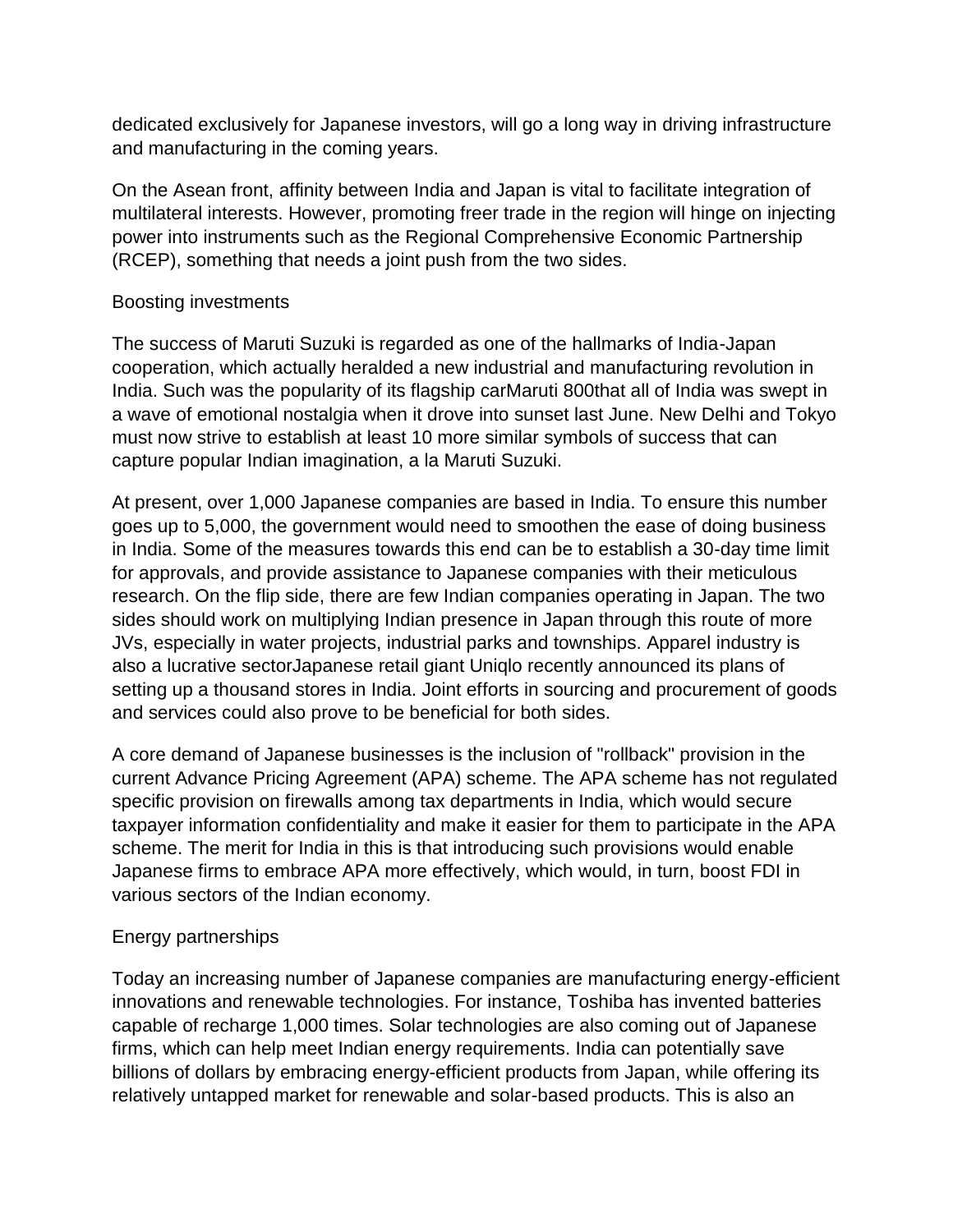dedicated exclusively for Japanese investors, will go a long way in driving infrastructure and manufacturing in the coming years.

On the Asean front, affinity between India and Japan is vital to facilitate integration of multilateral interests. However, promoting freer trade in the region will hinge on injecting power into instruments such as the Regional Comprehensive Economic Partnership (RCEP), something that needs a joint push from the two sides.

## Boosting investments

The success of Maruti Suzuki is regarded as one of the hallmarks of India-Japan cooperation, which actually heralded a new industrial and manufacturing revolution in India. Such was the popularity of its flagship carMaruti 800that all of India was swept in a wave of emotional nostalgia when it drove into sunset last June. New Delhi and Tokyo must now strive to establish at least 10 more similar symbols of success that can capture popular Indian imagination, a la Maruti Suzuki.

At present, over 1,000 Japanese companies are based in India. To ensure this number goes up to 5,000, the government would need to smoothen the ease of doing business in India. Some of the measures towards this end can be to establish a 30-day time limit for approvals, and provide assistance to Japanese companies with their meticulous research. On the flip side, there are few Indian companies operating in Japan. The two sides should work on multiplying Indian presence in Japan through this route of more JVs, especially in water projects, industrial parks and townships. Apparel industry is also a lucrative sectorJapanese retail giant Uniqlo recently announced its plans of setting up a thousand stores in India. Joint efforts in sourcing and procurement of goods and services could also prove to be beneficial for both sides.

A core demand of Japanese businesses is the inclusion of "rollback" provision in the current Advance Pricing Agreement (APA) scheme. The APA scheme has not regulated specific provision on firewalls among tax departments in India, which would secure taxpayer information confidentiality and make it easier for them to participate in the APA scheme. The merit for India in this is that introducing such provisions would enable Japanese firms to embrace APA more effectively, which would, in turn, boost FDI in various sectors of the Indian economy.

#### Energy partnerships

Today an increasing number of Japanese companies are manufacturing energy-efficient innovations and renewable technologies. For instance, Toshiba has invented batteries capable of recharge 1,000 times. Solar technologies are also coming out of Japanese firms, which can help meet Indian energy requirements. India can potentially save billions of dollars by embracing energy-efficient products from Japan, while offering its relatively untapped market for renewable and solar-based products. This is also an